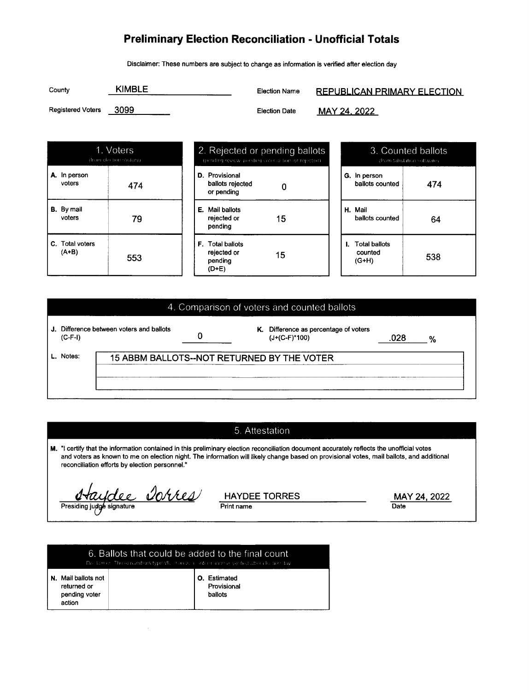## Preliminary Election Reconciliation - Unofficial Totals

Disclaimer: These numbers are subject to change as information is verified after election day

| County                   | <b>KIMBLE</b> | Election Name        | <b>REPUBLICAN PRIMARY ELECTION</b> |
|--------------------------|---------------|----------------------|------------------------------------|
| <b>Registered Voters</b> | - 3099        | <b>Election Date</b> | MAY 24, 2022                       |

|                             | 1. Voters<br>(from eks tion sesters) |
|-----------------------------|--------------------------------------|
| A. In person<br>voters      | 474                                  |
| <b>B.</b> By mail<br>voters | 79                                   |
| C. Total voters<br>$(A+B)$  | 553                                  |

| 2. Rejected or pending ballots<br>(pending review, pending coart action, or rejected) |                                                            |    |  |  |
|---------------------------------------------------------------------------------------|------------------------------------------------------------|----|--|--|
|                                                                                       | <b>D.</b> Provisional<br>ballots rejected<br>or pendina    |    |  |  |
|                                                                                       | <b>E.</b> Mail ballots<br>rejected or<br>pending           | 15 |  |  |
|                                                                                       | <b>F.</b> Total ballots<br>rejected or<br>pending<br>(D+E) | 15 |  |  |

| 3. Counted ballots<br>(from Sabulation software) |     |  |  |  |
|--------------------------------------------------|-----|--|--|--|
| G. In person<br>ballots counted                  | 474 |  |  |  |
| H. Mail<br>ballots counted                       | 64  |  |  |  |
| <b>I.</b> Total ballots<br>counted<br>$(G+H)$    | 538 |  |  |  |

## 4. Comparison of voters and counted ballots

| $(C-F-I)$ | J. Difference between voters and ballots   | K. | Difference as percentage of voters<br>$(J+(C-F)^*100)$ | 028 | % |
|-----------|--------------------------------------------|----|--------------------------------------------------------|-----|---|
| L. Notes: | 15 ABBM BALLOTS--NOT RETURNED BY THE VOTER |    |                                                        |     |   |
|           |                                            |    |                                                        |     |   |

## 5. Attestation

M. "l certify that the information contained in this preliminary election reconciliation document accurately reflects the unofficial votes and voters as known to me on election night. The information will likely change based on provisional votes, mail ballots, and additional reconciliation efforts by election personnel."

Haydee Dorres

HAYDEE TORRES MAY 24, 2022 Print name

| <b>O.</b> Estimated<br>N. Mail ballots not                       | 6. Ballots that could be added to the final count<br>Decilian on The selection bersits periods. In an accordation on a vended label else beniday |  |  |  |  |
|------------------------------------------------------------------|--------------------------------------------------------------------------------------------------------------------------------------------------|--|--|--|--|
| Provisional<br>returned or<br>ballots<br>pending voter<br>action |                                                                                                                                                  |  |  |  |  |